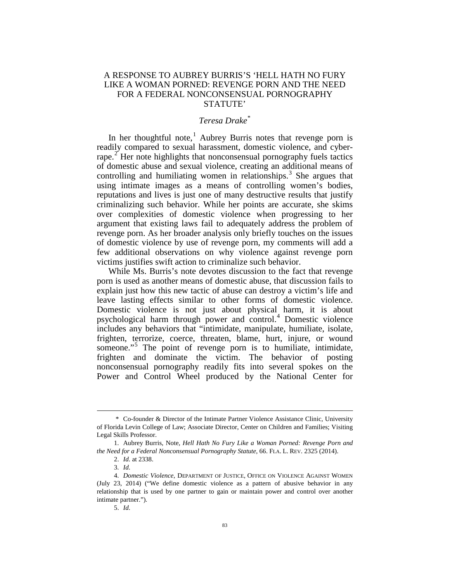## A RESPONSE TO AUBREY BURRIS'S 'HELL HATH NO FURY LIKE A WOMAN PORNED: REVENGE PORN AND THE NEED FOR A FEDERAL NONCONSENSUAL PORNOGRAPHY STATUTE'

## *Teresa Drake*[\\*](#page-0-0)

In her thoughtful note,<sup>[1](#page-0-1)</sup> Aubrey Burris notes that revenge porn is readily compared to sexual harassment, domestic violence, and cyber-rape.<sup>[2](#page-0-2)</sup> Her note highlights that nonconsensual pornography fuels tactics of domestic abuse and sexual violence, creating an additional means of controlling and humiliating women in relationships. $3$  She argues that using intimate images as a means of controlling women's bodies, reputations and lives is just one of many destructive results that justify criminalizing such behavior. While her points are accurate, she skims over complexities of domestic violence when progressing to her argument that existing laws fail to adequately address the problem of revenge porn. As her broader analysis only briefly touches on the issues of domestic violence by use of revenge porn, my comments will add a few additional observations on why violence against revenge porn victims justifies swift action to criminalize such behavior.

While Ms. Burris's note devotes discussion to the fact that revenge porn is used as another means of domestic abuse, that discussion fails to explain just how this new tactic of abuse can destroy a victim's life and leave lasting effects similar to other forms of domestic violence. Domestic violence is not just about physical harm, it is about psychological harm through power and control.[4](#page-0-4) Domestic violence includes any behaviors that "intimidate, manipulate, humiliate, isolate, frighten, terrorize, coerce, threaten, blame, hurt, injure, or wound someone."<sup>[5](#page-0-5)</sup> The point of revenge porn is to humiliate, intimidate, frighten and dominate the victim. The behavior of posting nonconsensual pornography readily fits into several spokes on the Power and Control Wheel produced by the National Center for

<span id="page-0-0"></span> <sup>\*</sup> Co-founder & Director of the Intimate Partner Violence Assistance Clinic, University of Florida Levin College of Law; Associate Director, Center on Children and Families; Visiting Legal Skills Professor.

<span id="page-0-2"></span><span id="page-0-1"></span><sup>1.</sup> Aubrey Burris, Note, *Hell Hath No Fury Like a Woman Porned: Revenge Porn and the Need for a Federal Nonconsensual Pornography Statute*, 66. FLA. L. REV. 2325 (2014).

<sup>2.</sup> *Id.* at 2338.

<sup>3.</sup> *Id.*

<span id="page-0-5"></span><span id="page-0-4"></span><span id="page-0-3"></span><sup>4.</sup> *Domestic Violence*, DEPARTMENT OF JUSTICE, OFFICE ON VIOLENCE AGAINST WOMEN (July 23, 2014) ("We define domestic violence as a pattern of abusive behavior in any relationship that is used by one partner to gain or maintain power and control over another intimate partner.").

<sup>5.</sup> *Id.*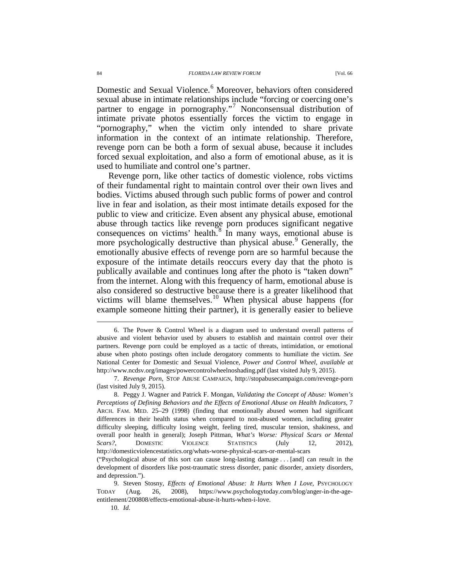Domestic and Sexual Violence.<sup>[6](#page-1-0)</sup> Moreover, behaviors often considered sexual abuse in intimate relationships include "forcing or coercing one's partner to engage in pornography."<sup>[7](#page-1-1)</sup> Nonconsensual distribution of intimate private photos essentially forces the victim to engage in "pornography," when the victim only intended to share private information in the context of an intimate relationship. Therefore, revenge porn can be both a form of sexual abuse, because it includes forced sexual exploitation, and also a form of emotional abuse, as it is used to humiliate and control one's partner.

Revenge porn, like other tactics of domestic violence, robs victims of their fundamental right to maintain control over their own lives and bodies. Victims abused through such public forms of power and control live in fear and isolation, as their most intimate details exposed for the public to view and criticize. Even absent any physical abuse, emotional abuse through tactics like revenge porn produces significant negative consequences on victims' health.[8](#page-1-2) In many ways, emotional abuse is more psychologically destructive than physical abuse.<sup>[9](#page-1-3)</sup> Generally, the emotionally abusive effects of revenge porn are so harmful because the exposure of the intimate details reoccurs every day that the photo is publically available and continues long after the photo is "taken down" from the internet. Along with this frequency of harm, emotional abuse is also considered so destructive because there is a greater likelihood that victims will blame themselves.[10](#page-1-4) When physical abuse happens (for example someone hitting their partner), it is generally easier to believe

<span id="page-1-0"></span> <sup>6.</sup> The Power & Control Wheel is a diagram used to understand overall patterns of abusive and violent behavior used by abusers to establish and maintain control over their partners. Revenge porn could be employed as a tactic of threats, intimidation, or emotional abuse when photo postings often include derogatory comments to humiliate the victim. *See*  National Center for Domestic and Sexual Violence, *Power and Control Wheel*, *available at* http://www.ncdsv.org/images/powercontrolwheelnoshading.pdf (last visited July 9, 2015).

<span id="page-1-1"></span><sup>7.</sup> *Revenge Porn,* STOP ABUSE CAMPAIGN, http://stopabusecampaign.com/revenge-porn (last visited July 9, 2015).

<span id="page-1-2"></span><sup>8.</sup> Peggy J. Wagner and Patrick F. Mongan, *Validating the Concept of Abuse: Women's Perceptions of Defining Behaviors and the Effects of Emotional Abuse on Health Indicators*, 7 ARCH. FAM. MED. 25–29 (1998) (finding that emotionally abused women had significant differences in their health status when compared to non-abused women, including greater difficulty sleeping, difficulty losing weight, feeling tired, muscular tension, shakiness, and overall poor health in general); Joseph Pittman, *What's Worse: Physical Scars or Mental Scars?*, DOMESTIC VIOLENCE STATISTICS (July 12, 2012), http://domesticviolencestatistics.org/whats-worse-physical-scars-or-mental-scars ("Psychological abuse of this sort can cause long-lasting damage . . . [and] can result in the

development of disorders like post-traumatic stress disorder, panic disorder, anxiety disorders, and depression.").

<span id="page-1-4"></span><span id="page-1-3"></span><sup>9.</sup> Steven Stosny, *Effects of Emotional Abuse: It Hurts When I Love*, PSYCHOLOGY TODAY (Aug. 26, 2008), https://www.psychologytoday.com/blog/anger-in-the-ageentitlement/200808/effects-emotional-abuse-it-hurts-when-i-love.

<sup>10.</sup> *Id.*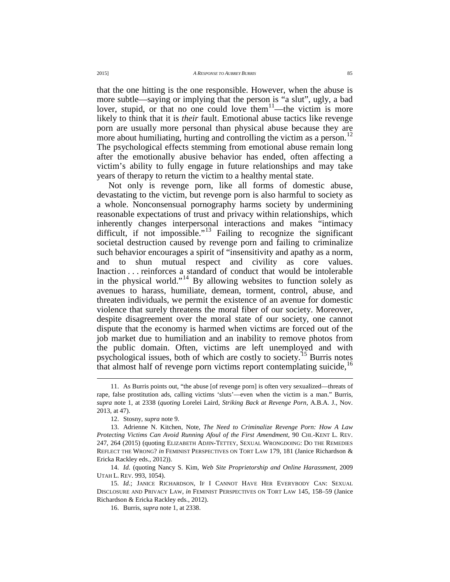that the one hitting is the one responsible. However, when the abuse is more subtle—saying or implying that the person is "a slut", ugly, a bad lover, stupid, or that no one could love them $11$ —the victim is more likely to think that it is *their* fault. Emotional abuse tactics like revenge porn are usually more personal than physical abuse because they are more about humiliating, hurting and controlling the victim as a person.<sup>[12](#page-2-1)</sup> The psychological effects stemming from emotional abuse remain long after the emotionally abusive behavior has ended, often affecting a victim's ability to fully engage in future relationships and may take years of therapy to return the victim to a healthy mental state.

Not only is revenge porn, like all forms of domestic abuse, devastating to the victim, but revenge porn is also harmful to society as a whole. Nonconsensual pornography harms society by undermining reasonable expectations of trust and privacy within relationships, which inherently changes interpersonal interactions and makes "intimacy difficult, if not impossible."<sup>[13](#page-2-2)</sup> Failing to recognize the significant societal destruction caused by revenge porn and failing to criminalize such behavior encourages a spirit of "insensitivity and apathy as a norm, and to shun mutual respect and civility as core values. Inaction . . . reinforces a standard of conduct that would be intolerable in the physical world."<sup>[14](#page-2-3)</sup> By allowing websites to function solely as avenues to harass, humiliate, demean, torment, control, abuse, and threaten individuals, we permit the existence of an avenue for domestic violence that surely threatens the moral fiber of our society. Moreover, despite disagreement over the moral state of our society, one cannot dispute that the economy is harmed when victims are forced out of the job market due to humiliation and an inability to remove photos from the public domain. Often, victims are left unemployed and with psychological issues, both of which are costly to society.<sup>[15](#page-2-4)</sup> Burris notes that almost half of revenge porn victims report contemplating suicide,<sup>[16](#page-2-5)</sup>

<span id="page-2-0"></span> <sup>11.</sup> As Burris points out, "the abuse [of revenge porn] is often very sexualized—threats of rape, false prostitution ads, calling victims 'sluts'—even when the victim is a man." Burris, *supra* note 1, at 2338 (*quoting* Lorelei Laird, *Striking Back at Revenge Porn*, A.B.A. J., Nov. 2013, at 47).

<sup>12.</sup> Stosny, *supra* note 9.

<span id="page-2-2"></span><span id="page-2-1"></span><sup>13.</sup> Adrienne N. Kitchen, Note, *The Need to Criminalize Revenge Porn: How A Law Protecting Victims Can Avoid Running Afoul of the First Amendment*, 90 CHI.-KENT L. REV. 247, 264 (2015) (quoting ELIZABETH ADJIN-TETTEY, SEXUAL WRONGDOING: DO THE REMEDIES REFLECT THE WRONG? *in* FEMINIST PERSPECTIVES ON TORT LAW 179, 181 (Janice Richardson & Ericka Rackley eds., 2012)).

<span id="page-2-3"></span><sup>14.</sup> *Id.* (quoting Nancy S. Kim, *Web Site Proprietorship and Online Harassment*, 2009 UTAH L. REV. 993, 1054).

<span id="page-2-5"></span><span id="page-2-4"></span><sup>15.</sup> *Id.*; JANICE RICHARDSON, IF I CANNOT HAVE HER EVERYBODY CAN: SEXUAL DISCLOSURE AND PRIVACY LAW, *in* FEMINIST PERSPECTIVES ON TORT LAW 145, 158–59 (Janice Richardson & Ericka Rackley eds., 2012).

<sup>16.</sup> Burris, *supra* note 1, at 2338.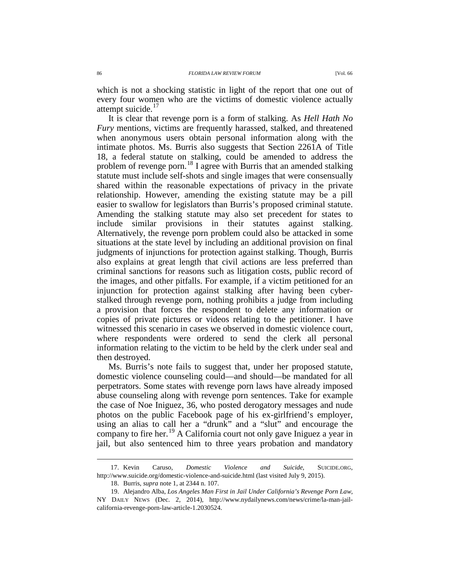which is not a shocking statistic in light of the report that one out of every four women who are the victims of domestic violence actually attempt suicide. $17$ 

It is clear that revenge porn is a form of stalking. As *Hell Hath No Fury* mentions, victims are frequently harassed, stalked, and threatened when anonymous users obtain personal information along with the intimate photos. Ms. Burris also suggests that Section 2261A of Title 18, a federal statute on stalking, could be amended to address the problem of revenge porn.<sup>[18](#page-3-1)</sup> I agree with Burris that an amended stalking statute must include self-shots and single images that were consensually shared within the reasonable expectations of privacy in the private relationship. However, amending the existing statute may be a pill easier to swallow for legislators than Burris's proposed criminal statute. Amending the stalking statute may also set precedent for states to include similar provisions in their statutes against stalking. Alternatively, the revenge porn problem could also be attacked in some situations at the state level by including an additional provision on final judgments of injunctions for protection against stalking. Though, Burris also explains at great length that civil actions are less preferred than criminal sanctions for reasons such as litigation costs, public record of the images, and other pitfalls. For example, if a victim petitioned for an injunction for protection against stalking after having been cyberstalked through revenge porn, nothing prohibits a judge from including a provision that forces the respondent to delete any information or copies of private pictures or videos relating to the petitioner. I have witnessed this scenario in cases we observed in domestic violence court, where respondents were ordered to send the clerk all personal information relating to the victim to be held by the clerk under seal and then destroyed.

Ms. Burris's note fails to suggest that, under her proposed statute, domestic violence counseling could—and should—be mandated for all perpetrators. Some states with revenge porn laws have already imposed abuse counseling along with revenge porn sentences. Take for example the case of Noe Iniguez, 36, who posted derogatory messages and nude photos on the public Facebook page of his ex-girlfriend's employer, using an alias to call her a "drunk" and a "slut" and encourage the company to fire her.<sup>[19](#page-3-2)</sup> A California court not only gave Iniguez a year in jail, but also sentenced him to three years probation and mandatory

<span id="page-3-0"></span> <sup>17.</sup> Kevin Caruso, *Domestic Violence and Suicide*, SUICIDE.ORG, http://www.suicide.org/domestic-violence-and-suicide.html (last visited July 9, 2015).

<sup>18.</sup> Burris, *supra* note 1, at 2344 n. 107.

<span id="page-3-2"></span><span id="page-3-1"></span><sup>19.</sup> Alejandro Alba, *Los Angeles Man First in Jail Under California's Revenge Porn Law*, NY DAILY NEWS (Dec. 2, 2014), http://www.nydailynews.com/news/crime/la-man-jailcalifornia-revenge-porn-law-article-1.2030524.